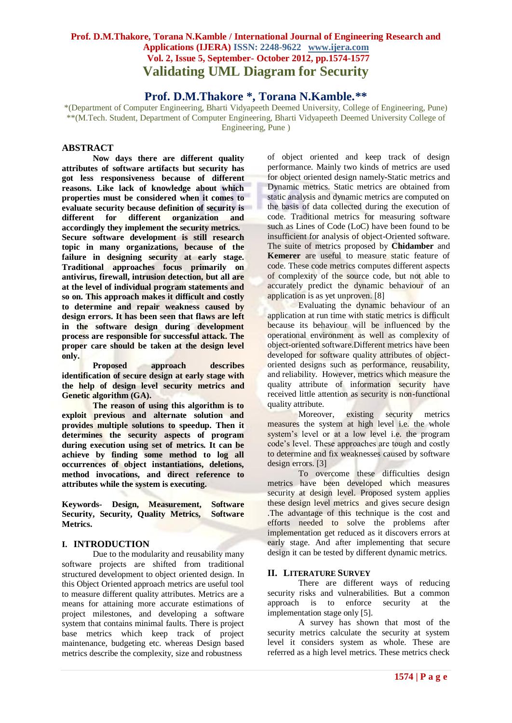# **Prof. D.M.Thakore, Torana N.Kamble / International Journal of Engineering Research and Applications (IJERA) ISSN: 2248-9622 www.ijera.com Vol. 2, Issue 5, September- October 2012, pp.1574-1577 Validating UML Diagram for Security**

# **Prof. D.M.Thakore \*, Torana N.Kamble.\*\***

\*(Department of Computer Engineering, Bharti Vidyapeeth Deemed University, College of Engineering, Pune) \*\*(M.Tech. Student, Department of Computer Engineering, Bharti Vidyapeeth Deemed University College of Engineering, Pune )

# **ABSTRACT**

**Now days there are different quality attributes of software artifacts but security has got less responsiveness because of different reasons. Like lack of knowledge about which properties must be considered when it comes to evaluate security because definition of security is different for different organization and accordingly they implement the security metrics. Secure software development is still research topic in many organizations, because of the failure in designing security at early stage. Traditional approaches focus primarily on antivirus, firewall, intrusion detection, but all are at the level of individual program statements and so on. This approach makes it difficult and costly to determine and repair weakness caused by design errors. It has been seen that flaws are left in the software design during development process are responsible for successful attack. The proper care should be taken at the design level only.**

**Proposed approach describes identification of secure design at early stage with the help of design level security metrics and Genetic algorithm (GA).** 

**The reason of using this algorithm is to exploit previous and alternate solution and provides multiple solutions to speedup. Then it determines the security aspects of program during execution using set of metrics. It can be achieve by finding some method to log all occurrences of object instantiations, deletions, method invocations, and direct reference to attributes while the system is executing.**

**Keywords- Design, Measurement, Software Security, Security, Quality Metrics, Software Metrics.** 

### **I. INTRODUCTION**

Due to the modularity and reusability many software projects are shifted from traditional structured development to object oriented design. In this Object Oriented approach metrics are useful tool to measure different quality attributes. Metrics are a means for attaining more accurate estimations of project milestones, and developing a software system that contains minimal faults. There is project base metrics which keep track of project maintenance, budgeting etc. whereas Design based metrics describe the complexity, size and robustness

of object oriented and keep track of design performance. Mainly two kinds of metrics are used for object oriented design namely**-**Static metrics and Dynamic metrics. Static metrics are obtained from static analysis and dynamic metrics are computed on the basis of data collected during the execution of code. Traditional metrics for measuring software such as Lines of Code (LoC) have been found to be insufficient for analysis of object-Oriented software. The suite of metrics proposed by **Chidamber** and **Kemerer** are useful to measure static feature of code. These code metrics computes different aspects of complexity of the source code, but not able to accurately predict the dynamic behaviour of an application is as yet unproven. [8]

Evaluating the dynamic behaviour of an application at run time with static metrics is difficult because its behaviour will be influenced by the operational environment as well as complexity of object-oriented software.Different metrics have been developed for software quality attributes of objectoriented designs such as performance, reusability, and reliability. However, metrics which measure the quality attribute of information security have received little attention as security is non-functional quality attribute.

Moreover, existing security metrics measures the system at high level i.e. the whole system's level or at a low level i.e. the program code's level. These approaches are tough and costly to determine and fix weaknesses caused by software design errors. [3]

To overcome these difficulties design metrics have been developed which measures security at design level. Proposed system applies these design level metrics and gives secure design .The advantage of this technique is the cost and efforts needed to solve the problems after implementation get reduced as it discovers errors at early stage. And after implementing that secure design it can be tested by different dynamic metrics.

### **II. LITERATURE SURVEY**

There are different ways of reducing security risks and vulnerabilities. But a common approach is to enforce security at the implementation stage only [5].

A survey has shown that most of the security metrics calculate the security at system level it considers system as whole. These are referred as a high level metrics. These metrics check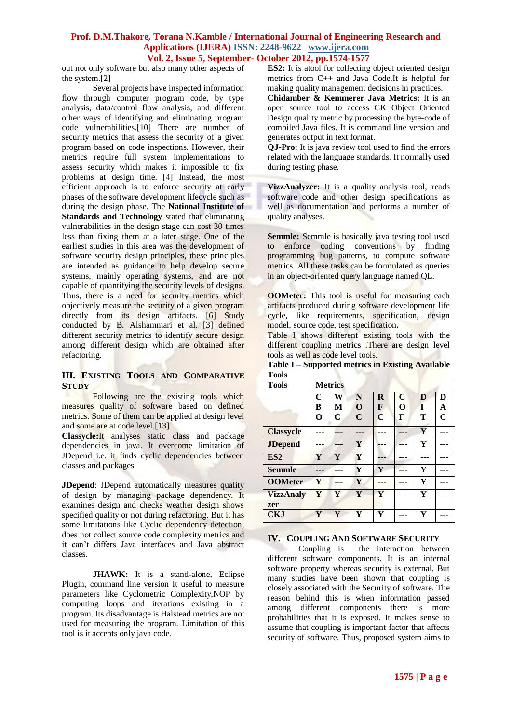#### **Prof. D.M.Thakore, Torana N.Kamble / International Journal of Engineering Research and Applications (IJERA) ISSN: 2248-9622 www.ijera.com Vol. 2, Issue 5, September- October 2012, pp.1574-1577**

out not only software but also many other aspects of the system.[2]

Several projects have inspected information flow through computer program code, by type analysis, data/control flow analysis, and different other ways of identifying and eliminating program code vulnerabilities.[10] There are number of security metrics that assess the security of a given program based on code inspections. However, their metrics require full system implementations to assess security which makes it impossible to fix problems at design time. [4] Instead, the most efficient approach is to enforce security at early phases of the software development lifecycle such as during the design phase. The **National Institute of Standards and Technology** stated that eliminating vulnerabilities in the design stage can cost 30 times less than fixing them at a later stage. One of the earliest studies in this area was the development of software security design principles, these principles are intended as guidance to help develop secure systems, mainly operating systems, and are not capable of quantifying the security levels of designs. Thus, there is a need for security metrics which objectively measure the security of a given program directly from its design artifacts. [6] Study conducted by B. Alshammari et al. [3] defined different security metrics to identify secure design among different design which are obtained after refactoring.

### **III. EXISTING TOOLS AND COMPARATIVE STUDY**

Following are the existing tools which measures quality of software based on defined metrics. Some of them can be applied at design level and some are at code level.[13]

**Classycle:**It analyses static class and package dependencies in java. It overcome limitation of JDepend i.e. it finds cyclic dependencies between classes and packages

**JDepend**: JDepend automatically measures quality of design by managing package dependency. It examines design and checks weather design shows specified quality or not during refactoring. But it has some limitations like Cyclic dependency detection, does not collect source code complexity metrics and it can't differs Java interfaces and Java abstract classes.

**JHAWK:** It is a stand-alone, Eclipse Plugin, command line version It useful to measure parameters like Cyclometric Complexity,NOP by computing loops and iterations existing in a program. Its disadvantage is Halstead metrics are not used for measuring the program. Limitation of this tool is it accepts only java code.

**ES2:** It is atool for collecting object oriented design metrics from C++ and Java Code.It is helpful for making quality management decisions in practices.

**Chidamber & Kemmerer Java Metrics:** It is an open source tool to access CK Object Oriented Design quality metric by processing the byte-code of compiled Java files. It is command line version and generates output in text format.

**QJ-Pro:** It is java review tool used to find the errors related with the language standards. It normally used during testing phase.

**VizzAnalyzer:** It is a quality analysis tool, reads software code and other design specifications as well as documentation and performs a number of quality analyses.

**Semmle:** Semmle is basically java testing tool used to enforce coding conventions by finding programming bug patterns, to compute software metrics. All these tasks can be formulated as queries in an object-oriented query language named QL.

**OOMeter:** This tool is useful for measuring each artifacts produced during software development life cycle, like requirements, specification, design model, source code, test specification**.**

Table I shows different existing tools with the different coupling metrics .There are design level tools as well as code level tools.

**Table I – Supported metrics in Existing Available Tools** 

| <b>Tools</b>            |             | <b>Metrics</b> |             |             |             |   |             |
|-------------------------|-------------|----------------|-------------|-------------|-------------|---|-------------|
|                         | $\mathbf C$ | W              | N           | $\bf{R}$    | $\mathbf C$ | D | D           |
|                         | B           | M              | $\mathbf 0$ | F           | O           | I | A           |
|                         | O           | C              | $\mathbf C$ | $\mathbf C$ | F           | Т | $\mathbf C$ |
| <b>Classycle</b>        |             |                |             |             |             | Y |             |
| <b>JDepend</b>          |             |                | Y           |             |             | Y |             |
| ES <sub>2</sub>         | Y           | Ÿ              | Y           |             |             |   |             |
| <b>Semmle</b>           |             |                | Y           | Y           | ---         | Y | ---         |
| <b>OOMeter</b>          | Y           |                | Y           |             |             | Y |             |
| <b>VizzAnaly</b><br>zer | Y           | Ÿ              | Y           | Y           |             | Y |             |
| <b>CKJ</b>              | Ÿ           | Y              | Y           | Y           |             | Y |             |

### **IV. COUPLING AND SOFTWARE SECURITY**

Coupling is the interaction between different software components. It is an internal software property whereas security is external. But many studies have been shown that coupling is closely associated with the Security of software. The reason behind this is when information passed among different components there is more probabilities that it is exposed. It makes sense to assume that coupling is important factor that affects security of software. Thus, proposed system aims to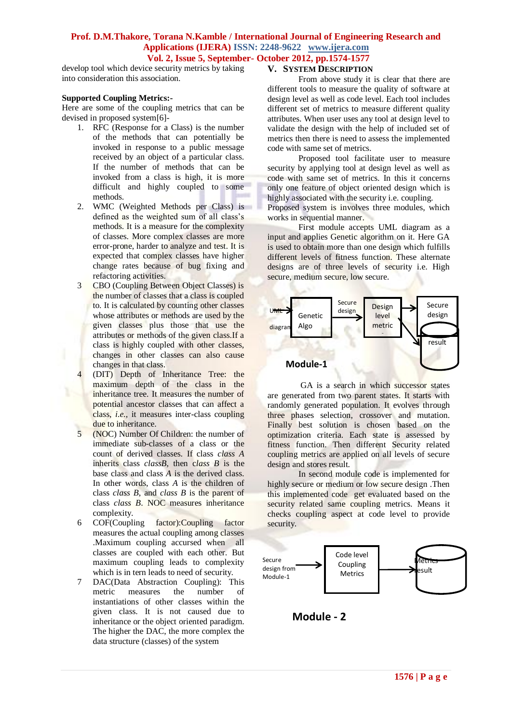### **Prof. D.M.Thakore, Torana N.Kamble / International Journal of Engineering Research and Applications (IJERA) ISSN: 2248-9622 www.ijera.com Vol. 2, Issue 5, September- October 2012, pp.1574-1577**

develop tool which device security metrics by taking into consideration this association.

#### **Supported Coupling Metrics:-**

Here are some of the coupling metrics that can be devised in proposed system[6]-

- 1. RFC (Response for a Class) is the number of the methods that can potentially be invoked in response to a public message received by an object of a particular class. If the number of methods that can be invoked from a class is high, it is more difficult and highly coupled to some methods.
- 2. WMC (Weighted Methods per Class) is defined as the weighted sum of all class's methods. It is a measure for the complexity of classes. More complex classes are more error-prone, harder to analyze and test. It is expected that complex classes have higher change rates because of bug fixing and refactoring activities.
- 3 CBO (Coupling Between Object Classes) is the number of classes that a class is coupled to. It is calculated by counting other classes whose attributes or methods are used by the given classes plus those that use the attributes or methods of the given class.If a class is highly coupled with other classes, changes in other classes can also cause changes in that class.
- 4 (DIT) Depth of Inheritance Tree: the maximum depth of the class in the inheritance tree. It measures the number of potential ancestor classes that can affect a class, *i.e.*, it measures inter-class coupling due to inheritance.
- 5 (NOC) Number Of Children: the number of immediate sub-classes of a class or the count of derived classes. If class *class A*  inherits class *classB*, then c*lass B* is the base class and class *A* is the derived class. In other words, class *A* is the children of class *class B*, and *class B* is the parent of class *class B*. NOC measures inheritance complexity.
- 6 COF(Coupling factor):Coupling factor measures the actual coupling among classes .Maximum coupling accursed when all classes are coupled with each other. But maximum coupling leads to complexity which is in tern leads to need of security.
- 7 DAC(Data Abstraction Coupling): This metric measures the number of instantiations of other classes within the given class. It is not caused due to inheritance or the object oriented paradigm. The higher the DAC, the more complex the data structure (classes) of the system

## **V. SYSTEM DESCRIPTION**

From above study it is clear that there are different tools to measure the quality of software at design level as well as code level. Each tool includes different set of metrics to measure different quality attributes. When user uses any tool at design level to validate the design with the help of included set of metrics then there is need to assess the implemented code with same set of metrics.

Proposed tool facilitate user to measure security by applying tool at design level as well as code with same set of metrics. In this it concerns only one feature of object oriented design which is highly associated with the security i.e. coupling. Proposed system is involves three modules, which

works in sequential manner. First module accepts UML diagram as a

input and applies Genetic algorithm on it. Here GA is used to obtain more than one design which fulfills different levels of fitness function. These alternate designs are of three levels of security i.e. High secure, medium secure, low secure.



GA is a search in which successor states are generated from two parent states. It starts with randomly generated population. It evolves through three phases selection, crossover and mutation. Finally best solution is chosen based on the optimization criteria. Each state is assessed by fitness function. Then different Security related coupling metrics are applied on all levels of secure design and stores result.

In second module code is implemented for highly secure or medium or low secure design .Then this implemented code get evaluated based on the security related same coupling metrics. Means it checks coupling aspect at code level to provide security.



**Module - 2**